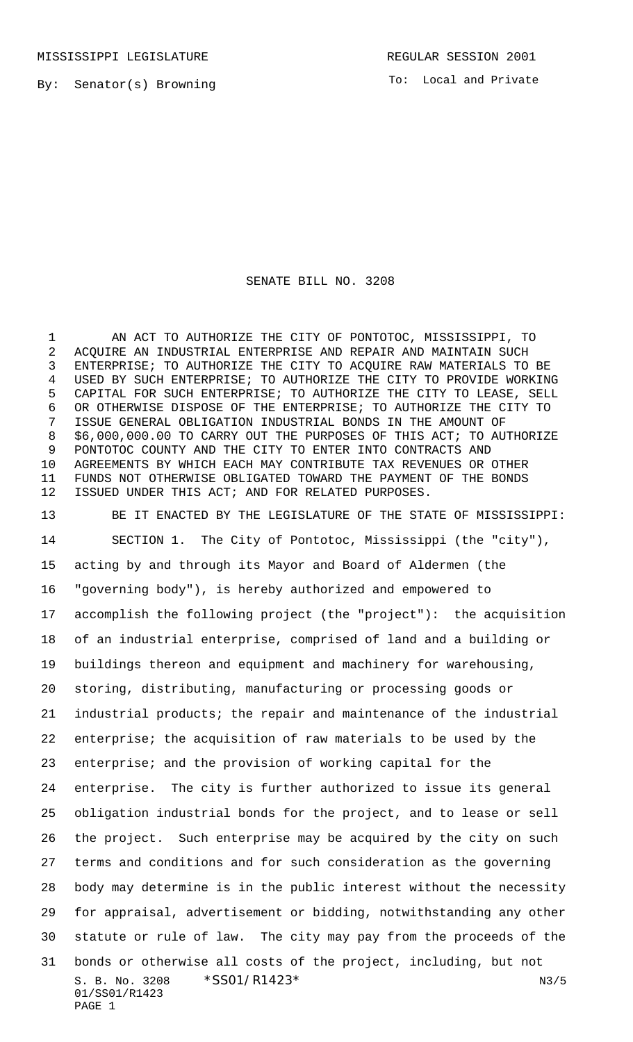By: Senator(s) Browning

To: Local and Private

## SENATE BILL NO. 3208

 AN ACT TO AUTHORIZE THE CITY OF PONTOTOC, MISSISSIPPI, TO ACQUIRE AN INDUSTRIAL ENTERPRISE AND REPAIR AND MAINTAIN SUCH ENTERPRISE; TO AUTHORIZE THE CITY TO ACQUIRE RAW MATERIALS TO BE USED BY SUCH ENTERPRISE; TO AUTHORIZE THE CITY TO PROVIDE WORKING CAPITAL FOR SUCH ENTERPRISE; TO AUTHORIZE THE CITY TO LEASE, SELL OR OTHERWISE DISPOSE OF THE ENTERPRISE; TO AUTHORIZE THE CITY TO ISSUE GENERAL OBLIGATION INDUSTRIAL BONDS IN THE AMOUNT OF \$6,000,000.00 TO CARRY OUT THE PURPOSES OF THIS ACT; TO AUTHORIZE PONTOTOC COUNTY AND THE CITY TO ENTER INTO CONTRACTS AND AGREEMENTS BY WHICH EACH MAY CONTRIBUTE TAX REVENUES OR OTHER FUNDS NOT OTHERWISE OBLIGATED TOWARD THE PAYMENT OF THE BONDS ISSUED UNDER THIS ACT; AND FOR RELATED PURPOSES.

S. B. No. 3208  $*SS01/R1423*$  N3/5 01/SS01/R1423 PAGE 1 BE IT ENACTED BY THE LEGISLATURE OF THE STATE OF MISSISSIPPI: SECTION 1. The City of Pontotoc, Mississippi (the "city"), acting by and through its Mayor and Board of Aldermen (the "governing body"), is hereby authorized and empowered to accomplish the following project (the "project"): the acquisition of an industrial enterprise, comprised of land and a building or buildings thereon and equipment and machinery for warehousing, storing, distributing, manufacturing or processing goods or industrial products; the repair and maintenance of the industrial enterprise; the acquisition of raw materials to be used by the enterprise; and the provision of working capital for the enterprise. The city is further authorized to issue its general obligation industrial bonds for the project, and to lease or sell the project. Such enterprise may be acquired by the city on such terms and conditions and for such consideration as the governing body may determine is in the public interest without the necessity for appraisal, advertisement or bidding, notwithstanding any other statute or rule of law. The city may pay from the proceeds of the bonds or otherwise all costs of the project, including, but not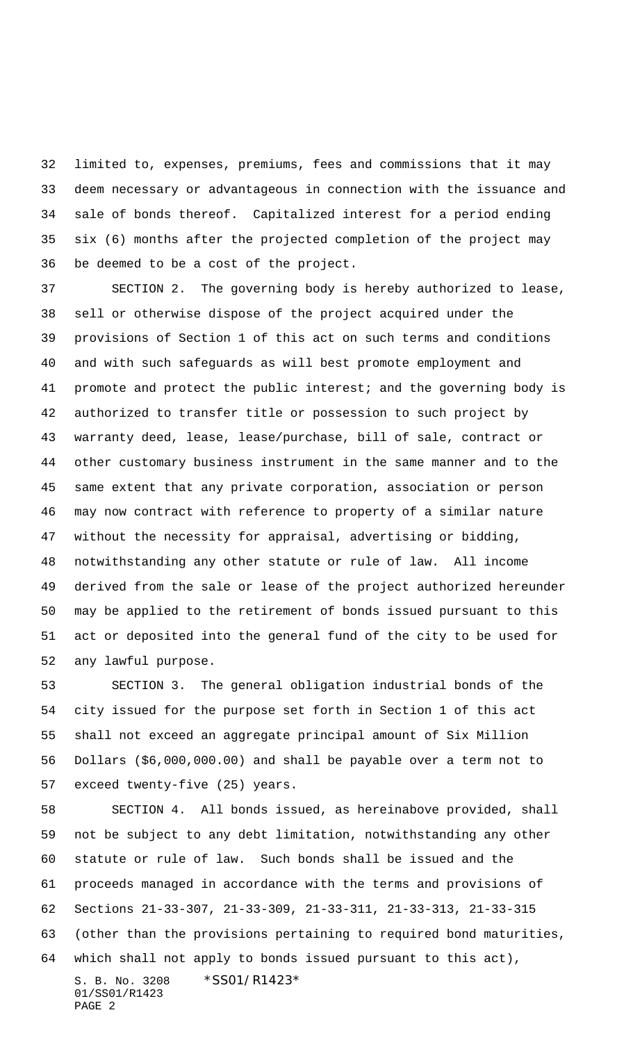limited to, expenses, premiums, fees and commissions that it may deem necessary or advantageous in connection with the issuance and sale of bonds thereof. Capitalized interest for a period ending six (6) months after the projected completion of the project may be deemed to be a cost of the project.

 SECTION 2. The governing body is hereby authorized to lease, sell or otherwise dispose of the project acquired under the provisions of Section 1 of this act on such terms and conditions and with such safeguards as will best promote employment and promote and protect the public interest; and the governing body is authorized to transfer title or possession to such project by warranty deed, lease, lease/purchase, bill of sale, contract or other customary business instrument in the same manner and to the same extent that any private corporation, association or person may now contract with reference to property of a similar nature without the necessity for appraisal, advertising or bidding, notwithstanding any other statute or rule of law. All income derived from the sale or lease of the project authorized hereunder may be applied to the retirement of bonds issued pursuant to this act or deposited into the general fund of the city to be used for any lawful purpose.

 SECTION 3. The general obligation industrial bonds of the city issued for the purpose set forth in Section 1 of this act shall not exceed an aggregate principal amount of Six Million Dollars (\$6,000,000.00) and shall be payable over a term not to exceed twenty-five (25) years.

S. B. No. 3208 \*SS01/R1423\* 01/SS01/R1423 SECTION 4. All bonds issued, as hereinabove provided, shall not be subject to any debt limitation, notwithstanding any other statute or rule of law. Such bonds shall be issued and the proceeds managed in accordance with the terms and provisions of Sections 21-33-307, 21-33-309, 21-33-311, 21-33-313, 21-33-315 (other than the provisions pertaining to required bond maturities, which shall not apply to bonds issued pursuant to this act),

PAGE 2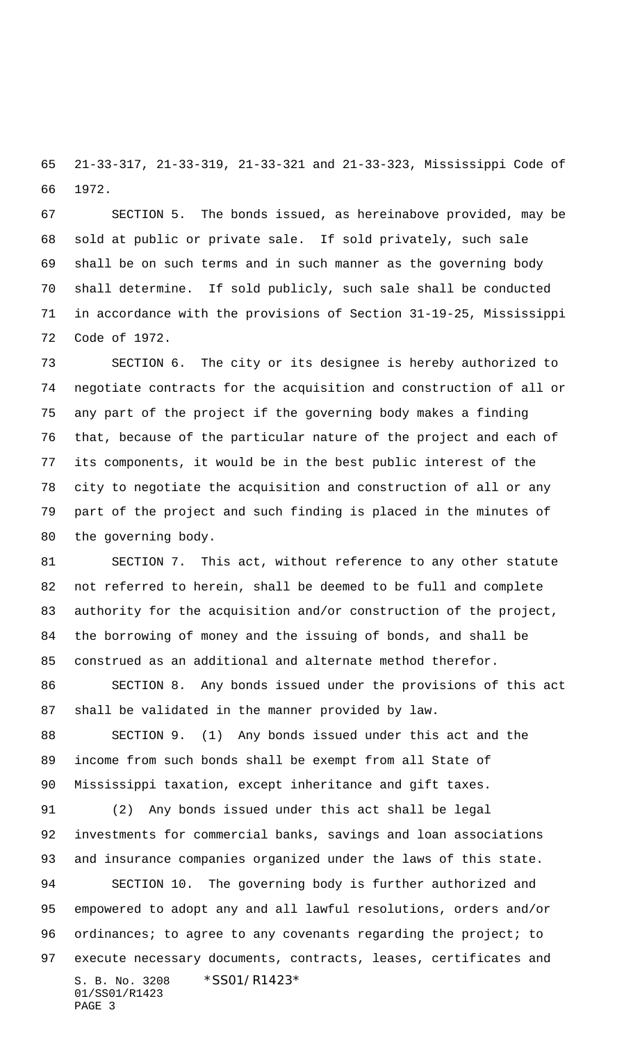21-33-317, 21-33-319, 21-33-321 and 21-33-323, Mississippi Code of 1972.

 SECTION 5. The bonds issued, as hereinabove provided, may be sold at public or private sale. If sold privately, such sale shall be on such terms and in such manner as the governing body shall determine. If sold publicly, such sale shall be conducted in accordance with the provisions of Section 31-19-25, Mississippi Code of 1972.

 SECTION 6. The city or its designee is hereby authorized to negotiate contracts for the acquisition and construction of all or any part of the project if the governing body makes a finding that, because of the particular nature of the project and each of its components, it would be in the best public interest of the city to negotiate the acquisition and construction of all or any part of the project and such finding is placed in the minutes of the governing body.

 SECTION 7. This act, without reference to any other statute not referred to herein, shall be deemed to be full and complete authority for the acquisition and/or construction of the project, the borrowing of money and the issuing of bonds, and shall be construed as an additional and alternate method therefor.

 SECTION 8. Any bonds issued under the provisions of this act shall be validated in the manner provided by law.

 SECTION 9. (1) Any bonds issued under this act and the income from such bonds shall be exempt from all State of Mississippi taxation, except inheritance and gift taxes.

S. B. No. 3208 \*SS01/R1423\* 01/SS01/R1423 PAGE 3 (2) Any bonds issued under this act shall be legal investments for commercial banks, savings and loan associations and insurance companies organized under the laws of this state. SECTION 10. The governing body is further authorized and empowered to adopt any and all lawful resolutions, orders and/or 96 ordinances; to agree to any covenants regarding the project; to execute necessary documents, contracts, leases, certificates and